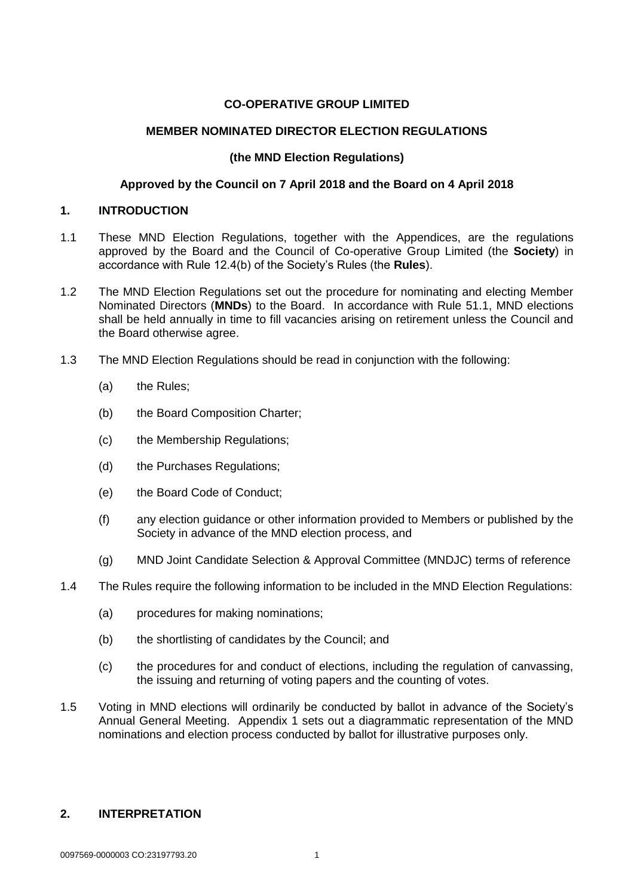# **CO-OPERATIVE GROUP LIMITED**

## **MEMBER NOMINATED DIRECTOR ELECTION REGULATIONS**

## **(the MND Election Regulations)**

## **Approved by the Council on 7 April 2018 and the Board on 4 April 2018**

## **1. INTRODUCTION**

- 1.1 These MND Election Regulations, together with the Appendices, are the regulations approved by the Board and the Council of Co-operative Group Limited (the **Society**) in accordance with Rule 12.4(b) of the Society's Rules (the **Rules**).
- 1.2 The MND Election Regulations set out the procedure for nominating and electing Member Nominated Directors (**MNDs**) to the Board. In accordance with Rule 51.1, MND elections shall be held annually in time to fill vacancies arising on retirement unless the Council and the Board otherwise agree.
- 1.3 The MND Election Regulations should be read in conjunction with the following:
	- (a) the Rules;
	- (b) the Board Composition Charter;
	- (c) the Membership Regulations;
	- (d) the Purchases Regulations;
	- (e) the Board Code of Conduct;
	- (f) any election guidance or other information provided to Members or published by the Society in advance of the MND election process, and
	- (g) MND Joint Candidate Selection & Approval Committee (MNDJC) terms of reference
- 1.4 The Rules require the following information to be included in the MND Election Regulations:
	- (a) procedures for making nominations;
	- (b) the shortlisting of candidates by the Council; and
	- (c) the procedures for and conduct of elections, including the regulation of canvassing, the issuing and returning of voting papers and the counting of votes.
- 1.5 Voting in MND elections will ordinarily be conducted by ballot in advance of the Society's Annual General Meeting. Appendix 1 sets out a diagrammatic representation of the MND nominations and election process conducted by ballot for illustrative purposes only.

# **2. INTERPRETATION**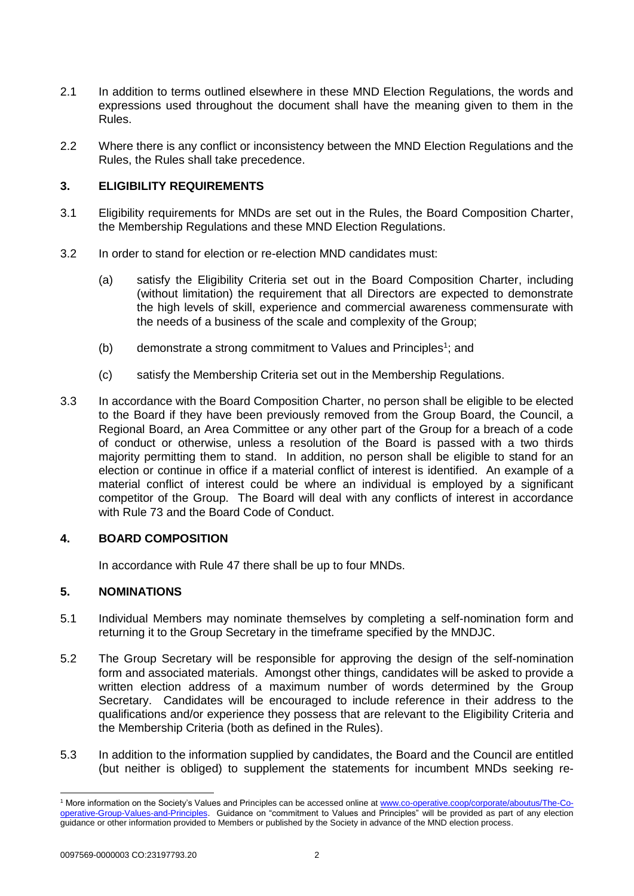- 2.1 In addition to terms outlined elsewhere in these MND Election Regulations, the words and expressions used throughout the document shall have the meaning given to them in the Rules.
- 2.2 Where there is any conflict or inconsistency between the MND Election Regulations and the Rules, the Rules shall take precedence.

# **3. ELIGIBILITY REQUIREMENTS**

- 3.1 Eligibility requirements for MNDs are set out in the Rules, the Board Composition Charter, the Membership Regulations and these MND Election Regulations.
- 3.2 In order to stand for election or re-election MND candidates must:
	- (a) satisfy the Eligibility Criteria set out in the Board Composition Charter, including (without limitation) the requirement that all Directors are expected to demonstrate the high levels of skill, experience and commercial awareness commensurate with the needs of a business of the scale and complexity of the Group;
	- $(b)$  demonstrate a strong commitment to Values and Principles<sup>1</sup>; and
	- (c) satisfy the Membership Criteria set out in the Membership Regulations.
- 3.3 In accordance with the Board Composition Charter, no person shall be eligible to be elected to the Board if they have been previously removed from the Group Board, the Council, a Regional Board, an Area Committee or any other part of the Group for a breach of a code of conduct or otherwise, unless a resolution of the Board is passed with a two thirds majority permitting them to stand. In addition, no person shall be eligible to stand for an election or continue in office if a material conflict of interest is identified. An example of a material conflict of interest could be where an individual is employed by a significant competitor of the Group. The Board will deal with any conflicts of interest in accordance with Rule 73 and the Board Code of Conduct.

# **4. BOARD COMPOSITION**

In accordance with Rule 47 there shall be up to four MNDs.

# **5. NOMINATIONS**

- 5.1 Individual Members may nominate themselves by completing a self-nomination form and returning it to the Group Secretary in the timeframe specified by the MNDJC.
- 5.2 The Group Secretary will be responsible for approving the design of the self-nomination form and associated materials. Amongst other things, candidates will be asked to provide a written election address of a maximum number of words determined by the Group Secretary. Candidates will be encouraged to include reference in their address to the qualifications and/or experience they possess that are relevant to the Eligibility Criteria and the Membership Criteria (both as defined in the Rules).
- 5.3 In addition to the information supplied by candidates, the Board and the Council are entitled (but neither is obliged) to supplement the statements for incumbent MNDs seeking re-

-

<sup>1</sup> More information on the Society's Values and Principles can be accessed online at www.co-operative.coop/corporate/aboutus/The-Cooperative-Group-Values-and-Principles. Guidance on "commitment to Values and Principles" will be provided as part of any election guidance or other information provided to Members or published by the Society in advance of the MND election process.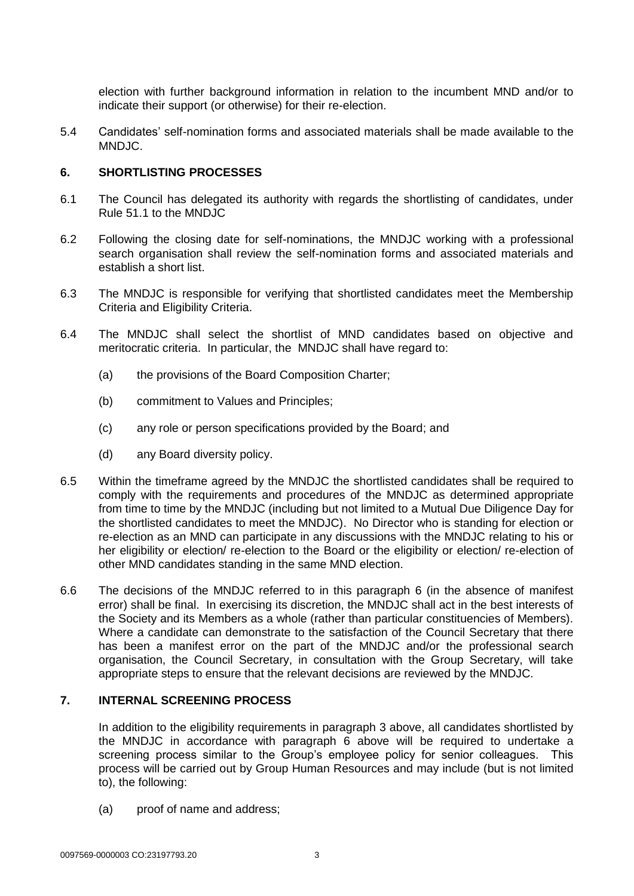election with further background information in relation to the incumbent MND and/or to indicate their support (or otherwise) for their re-election.

5.4 Candidates' self-nomination forms and associated materials shall be made available to the MNDJC.

#### **6. SHORTLISTING PROCESSES**

- 6.1 The Council has delegated its authority with regards the shortlisting of candidates, under Rule 51.1 to the MNDJC
- 6.2 Following the closing date for self-nominations, the MNDJC working with a professional search organisation shall review the self-nomination forms and associated materials and establish a short list.
- 6.3 The MNDJC is responsible for verifying that shortlisted candidates meet the Membership Criteria and Eligibility Criteria.
- 6.4 The MNDJC shall select the shortlist of MND candidates based on objective and meritocratic criteria. In particular, the MNDJC shall have regard to:
	- (a) the provisions of the Board Composition Charter;
	- (b) commitment to Values and Principles;
	- (c) any role or person specifications provided by the Board; and
	- (d) any Board diversity policy.
- 6.5 Within the timeframe agreed by the MNDJC the shortlisted candidates shall be required to comply with the requirements and procedures of the MNDJC as determined appropriate from time to time by the MNDJC (including but not limited to a Mutual Due Diligence Day for the shortlisted candidates to meet the MNDJC). No Director who is standing for election or re-election as an MND can participate in any discussions with the MNDJC relating to his or her eligibility or election/ re-election to the Board or the eligibility or election/ re-election of other MND candidates standing in the same MND election.
- 6.6 The decisions of the MNDJC referred to in this paragraph 6 (in the absence of manifest error) shall be final. In exercising its discretion, the MNDJC shall act in the best interests of the Society and its Members as a whole (rather than particular constituencies of Members). Where a candidate can demonstrate to the satisfaction of the Council Secretary that there has been a manifest error on the part of the MNDJC and/or the professional search organisation, the Council Secretary, in consultation with the Group Secretary, will take appropriate steps to ensure that the relevant decisions are reviewed by the MNDJC.

# **7. INTERNAL SCREENING PROCESS**

In addition to the eligibility requirements in paragraph 3 above, all candidates shortlisted by the MNDJC in accordance with paragraph 6 above will be required to undertake a screening process similar to the Group's employee policy for senior colleagues. This process will be carried out by Group Human Resources and may include (but is not limited to), the following:

(a) proof of name and address;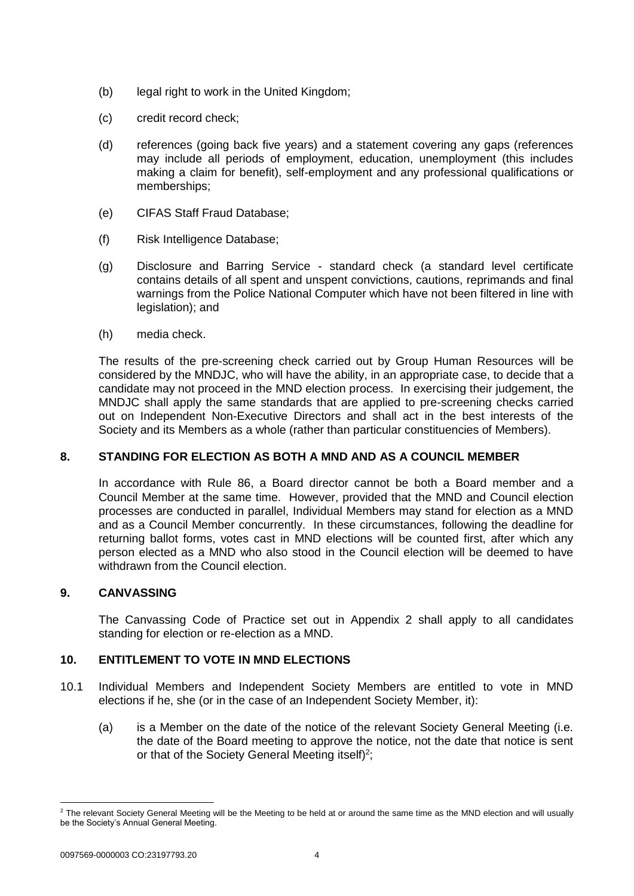- (b) legal right to work in the United Kingdom;
- (c) credit record check;
- (d) references (going back five years) and a statement covering any gaps (references may include all periods of employment, education, unemployment (this includes making a claim for benefit), self-employment and any professional qualifications or memberships;
- (e) CIFAS Staff Fraud Database;
- (f) Risk Intelligence Database;
- (g) Disclosure and Barring Service standard check (a standard level certificate contains details of all spent and unspent convictions, cautions, reprimands and final warnings from the Police National Computer which have not been filtered in line with legislation); and
- (h) media check.

The results of the pre-screening check carried out by Group Human Resources will be considered by the MNDJC, who will have the ability, in an appropriate case, to decide that a candidate may not proceed in the MND election process. In exercising their judgement, the MNDJC shall apply the same standards that are applied to pre-screening checks carried out on Independent Non-Executive Directors and shall act in the best interests of the Society and its Members as a whole (rather than particular constituencies of Members).

# **8. STANDING FOR ELECTION AS BOTH A MND AND AS A COUNCIL MEMBER**

In accordance with Rule 86, a Board director cannot be both a Board member and a Council Member at the same time. However, provided that the MND and Council election processes are conducted in parallel, Individual Members may stand for election as a MND and as a Council Member concurrently. In these circumstances, following the deadline for returning ballot forms, votes cast in MND elections will be counted first, after which any person elected as a MND who also stood in the Council election will be deemed to have withdrawn from the Council election.

# **9. CANVASSING**

The Canvassing Code of Practice set out in Appendix 2 shall apply to all candidates standing for election or re-election as a MND.

# 10. **ENTITLEMENT TO VOTE IN MND ELECTIONS**

- 10.1 Individual Members and Independent Society Members are entitled to vote in MND elections if he, she (or in the case of an Independent Society Member, it):
	- (a) is a Member on the date of the notice of the relevant Society General Meeting (i.e. the date of the Board meeting to approve the notice, not the date that notice is sent or that of the Society General Meeting itself)<sup>2</sup>;

1

 $2$  The relevant Society General Meeting will be the Meeting to be held at or around the same time as the MND election and will usually be the Society's Annual General Meeting.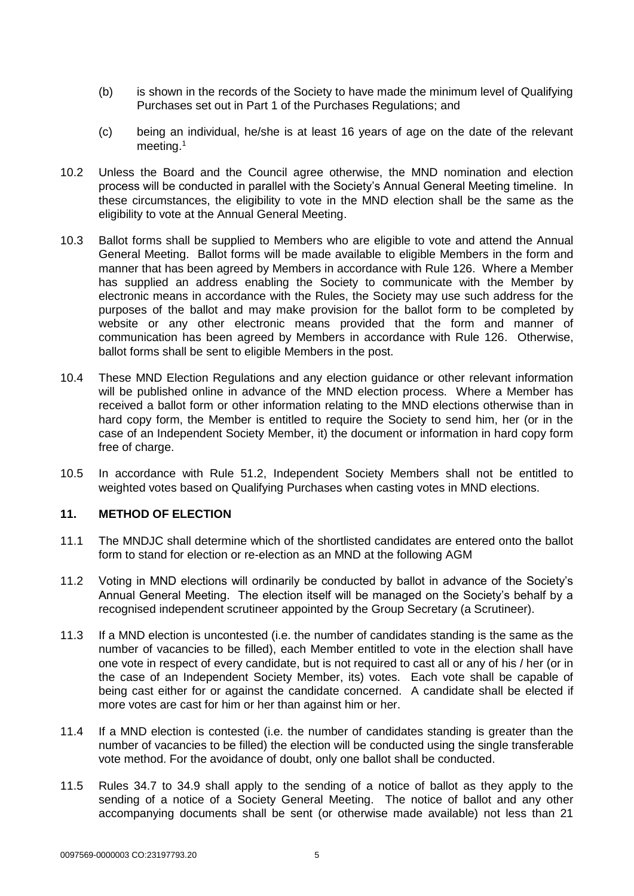- (b) is shown in the records of the Society to have made the minimum level of Qualifying Purchases set out in Part 1 of the Purchases Regulations; and
- (c) being an individual, he/she is at least 16 years of age on the date of the relevant meeting.<sup>1</sup>
- 10.2 Unless the Board and the Council agree otherwise, the MND nomination and election process will be conducted in parallel with the Society's Annual General Meeting timeline. In these circumstances, the eligibility to vote in the MND election shall be the same as the eligibility to vote at the Annual General Meeting.
- 10.3 Ballot forms shall be supplied to Members who are eligible to vote and attend the Annual General Meeting. Ballot forms will be made available to eligible Members in the form and manner that has been agreed by Members in accordance with Rule 126. Where a Member has supplied an address enabling the Society to communicate with the Member by electronic means in accordance with the Rules, the Society may use such address for the purposes of the ballot and may make provision for the ballot form to be completed by website or any other electronic means provided that the form and manner of communication has been agreed by Members in accordance with Rule 126. Otherwise, ballot forms shall be sent to eligible Members in the post.
- 10.4 These MND Election Regulations and any election guidance or other relevant information will be published online in advance of the MND election process. Where a Member has received a ballot form or other information relating to the MND elections otherwise than in hard copy form, the Member is entitled to require the Society to send him, her (or in the case of an Independent Society Member, it) the document or information in hard copy form free of charge.
- 10.5 In accordance with Rule 51.2, Independent Society Members shall not be entitled to weighted votes based on Qualifying Purchases when casting votes in MND elections.

#### **11. METHOD OF ELECTION**

- 11.1 The MNDJC shall determine which of the shortlisted candidates are entered onto the ballot form to stand for election or re-election as an MND at the following AGM
- 11.2 Voting in MND elections will ordinarily be conducted by ballot in advance of the Society's Annual General Meeting. The election itself will be managed on the Society's behalf by a recognised independent scrutineer appointed by the Group Secretary (a Scrutineer).
- 11.3 If a MND election is uncontested (i.e. the number of candidates standing is the same as the number of vacancies to be filled), each Member entitled to vote in the election shall have one vote in respect of every candidate, but is not required to cast all or any of his / her (or in the case of an Independent Society Member, its) votes. Each vote shall be capable of being cast either for or against the candidate concerned. A candidate shall be elected if more votes are cast for him or her than against him or her.
- 11.4 If a MND election is contested (i.e. the number of candidates standing is greater than the number of vacancies to be filled) the election will be conducted using the single transferable vote method. For the avoidance of doubt, only one ballot shall be conducted.
- 11.5 Rules 34.7 to 34.9 shall apply to the sending of a notice of ballot as they apply to the sending of a notice of a Society General Meeting. The notice of ballot and any other accompanying documents shall be sent (or otherwise made available) not less than 21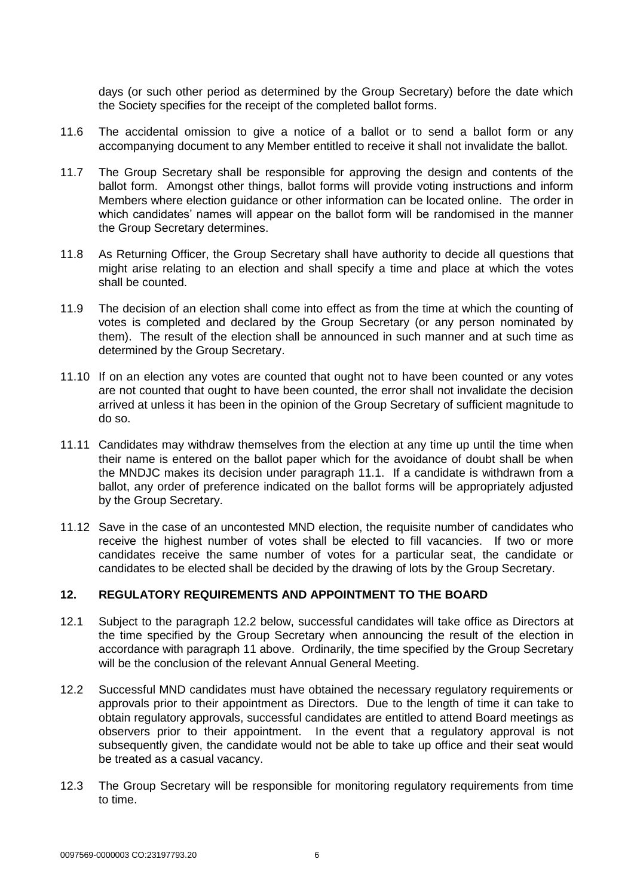days (or such other period as determined by the Group Secretary) before the date which the Society specifies for the receipt of the completed ballot forms.

- 11.6 The accidental omission to give a notice of a ballot or to send a ballot form or any accompanying document to any Member entitled to receive it shall not invalidate the ballot.
- 11.7 The Group Secretary shall be responsible for approving the design and contents of the ballot form. Amongst other things, ballot forms will provide voting instructions and inform Members where election guidance or other information can be located online. The order in which candidates' names will appear on the ballot form will be randomised in the manner the Group Secretary determines.
- 11.8 As Returning Officer, the Group Secretary shall have authority to decide all questions that might arise relating to an election and shall specify a time and place at which the votes shall be counted.
- 11.9 The decision of an election shall come into effect as from the time at which the counting of votes is completed and declared by the Group Secretary (or any person nominated by them). The result of the election shall be announced in such manner and at such time as determined by the Group Secretary.
- 11.10 If on an election any votes are counted that ought not to have been counted or any votes are not counted that ought to have been counted, the error shall not invalidate the decision arrived at unless it has been in the opinion of the Group Secretary of sufficient magnitude to do so.
- 11.11 Candidates may withdraw themselves from the election at any time up until the time when their name is entered on the ballot paper which for the avoidance of doubt shall be when the MNDJC makes its decision under paragraph 11.1. If a candidate is withdrawn from a ballot, any order of preference indicated on the ballot forms will be appropriately adjusted by the Group Secretary.
- 11.12 Save in the case of an uncontested MND election, the requisite number of candidates who receive the highest number of votes shall be elected to fill vacancies. If two or more candidates receive the same number of votes for a particular seat, the candidate or candidates to be elected shall be decided by the drawing of lots by the Group Secretary.

#### **12. REGULATORY REQUIREMENTS AND APPOINTMENT TO THE BOARD**

- 12.1 Subject to the paragraph 12.2 below, successful candidates will take office as Directors at the time specified by the Group Secretary when announcing the result of the election in accordance with paragraph 11 above. Ordinarily, the time specified by the Group Secretary will be the conclusion of the relevant Annual General Meeting.
- 12.2 Successful MND candidates must have obtained the necessary regulatory requirements or approvals prior to their appointment as Directors. Due to the length of time it can take to obtain regulatory approvals, successful candidates are entitled to attend Board meetings as observers prior to their appointment. In the event that a regulatory approval is not subsequently given, the candidate would not be able to take up office and their seat would be treated as a casual vacancy.
- 12.3 The Group Secretary will be responsible for monitoring regulatory requirements from time to time.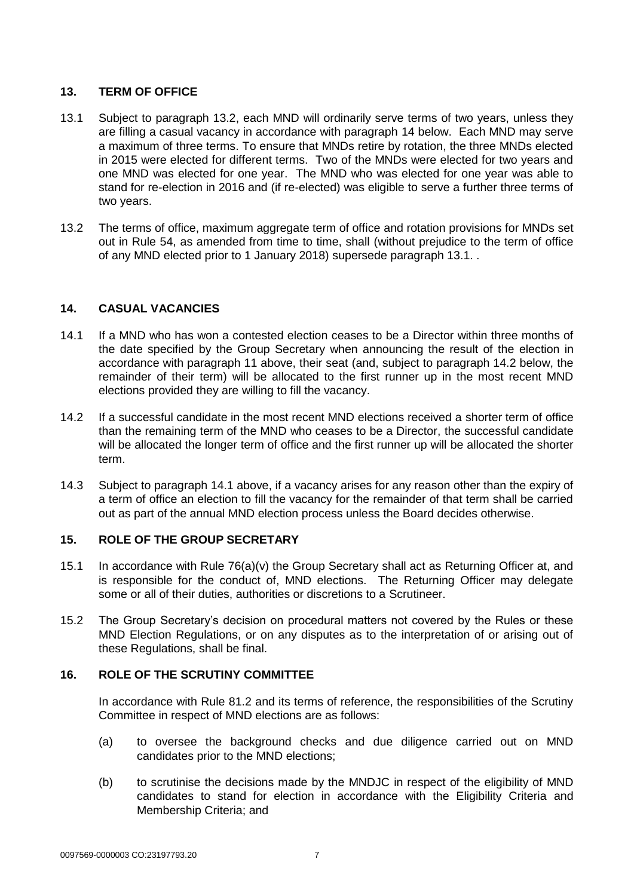# **13. TERM OF OFFICE**

- 13.1 Subject to paragraph 13.2, each MND will ordinarily serve terms of two years, unless they are filling a casual vacancy in accordance with paragraph 14 below. Each MND may serve a maximum of three terms. To ensure that MNDs retire by rotation, the three MNDs elected in 2015 were elected for different terms. Two of the MNDs were elected for two years and one MND was elected for one year. The MND who was elected for one year was able to stand for re-election in 2016 and (if re-elected) was eligible to serve a further three terms of two years.
- 13.2 The terms of office, maximum aggregate term of office and rotation provisions for MNDs set out in Rule 54, as amended from time to time, shall (without prejudice to the term of office of any MND elected prior to 1 January 2018) supersede paragraph 13.1. .

# **14. CASUAL VACANCIES**

- 14.1 If a MND who has won a contested election ceases to be a Director within three months of the date specified by the Group Secretary when announcing the result of the election in accordance with paragraph 11 above, their seat (and, subject to paragraph 14.2 below, the remainder of their term) will be allocated to the first runner up in the most recent MND elections provided they are willing to fill the vacancy.
- 14.2 If a successful candidate in the most recent MND elections received a shorter term of office than the remaining term of the MND who ceases to be a Director, the successful candidate will be allocated the longer term of office and the first runner up will be allocated the shorter term.
- 14.3 Subject to paragraph 14.1 above, if a vacancy arises for any reason other than the expiry of a term of office an election to fill the vacancy for the remainder of that term shall be carried out as part of the annual MND election process unless the Board decides otherwise.

# **15. ROLE OF THE GROUP SECRETARY**

- 15.1 In accordance with Rule 76(a)(v) the Group Secretary shall act as Returning Officer at, and is responsible for the conduct of, MND elections. The Returning Officer may delegate some or all of their duties, authorities or discretions to a Scrutineer.
- 15.2 The Group Secretary's decision on procedural matters not covered by the Rules or these MND Election Regulations, or on any disputes as to the interpretation of or arising out of these Regulations, shall be final.

# **16. ROLE OF THE SCRUTINY COMMITTEE**

In accordance with Rule 81.2 and its terms of reference, the responsibilities of the Scrutiny Committee in respect of MND elections are as follows:

- (a) to oversee the background checks and due diligence carried out on MND candidates prior to the MND elections;
- (b) to scrutinise the decisions made by the MNDJC in respect of the eligibility of MND candidates to stand for election in accordance with the Eligibility Criteria and Membership Criteria; and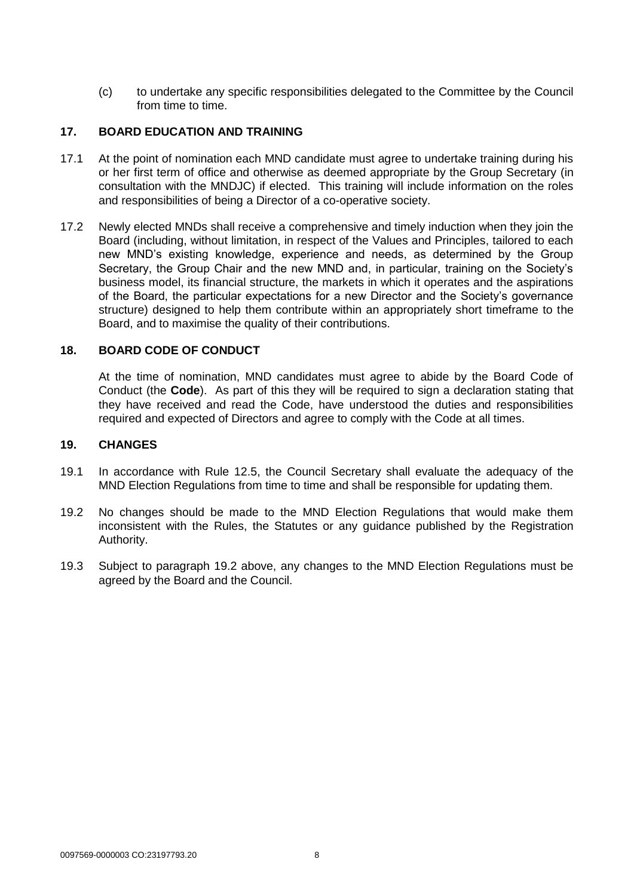(c) to undertake any specific responsibilities delegated to the Committee by the Council from time to time.

## **17. BOARD EDUCATION AND TRAINING**

- 17.1 At the point of nomination each MND candidate must agree to undertake training during his or her first term of office and otherwise as deemed appropriate by the Group Secretary (in consultation with the MNDJC) if elected. This training will include information on the roles and responsibilities of being a Director of a co-operative society.
- 17.2 Newly elected MNDs shall receive a comprehensive and timely induction when they join the Board (including, without limitation, in respect of the Values and Principles, tailored to each new MND's existing knowledge, experience and needs, as determined by the Group Secretary, the Group Chair and the new MND and, in particular, training on the Society's business model, its financial structure, the markets in which it operates and the aspirations of the Board, the particular expectations for a new Director and the Society's governance structure) designed to help them contribute within an appropriately short timeframe to the Board, and to maximise the quality of their contributions.

## **18. BOARD CODE OF CONDUCT**

At the time of nomination, MND candidates must agree to abide by the Board Code of Conduct (the **Code**). As part of this they will be required to sign a declaration stating that they have received and read the Code, have understood the duties and responsibilities required and expected of Directors and agree to comply with the Code at all times.

#### **19. CHANGES**

- 19.1 In accordance with Rule 12.5, the Council Secretary shall evaluate the adequacy of the MND Election Regulations from time to time and shall be responsible for updating them.
- 19.2 No changes should be made to the MND Election Regulations that would make them inconsistent with the Rules, the Statutes or any guidance published by the Registration Authority.
- 19.3 Subject to paragraph 19.2 above, any changes to the MND Election Regulations must be agreed by the Board and the Council.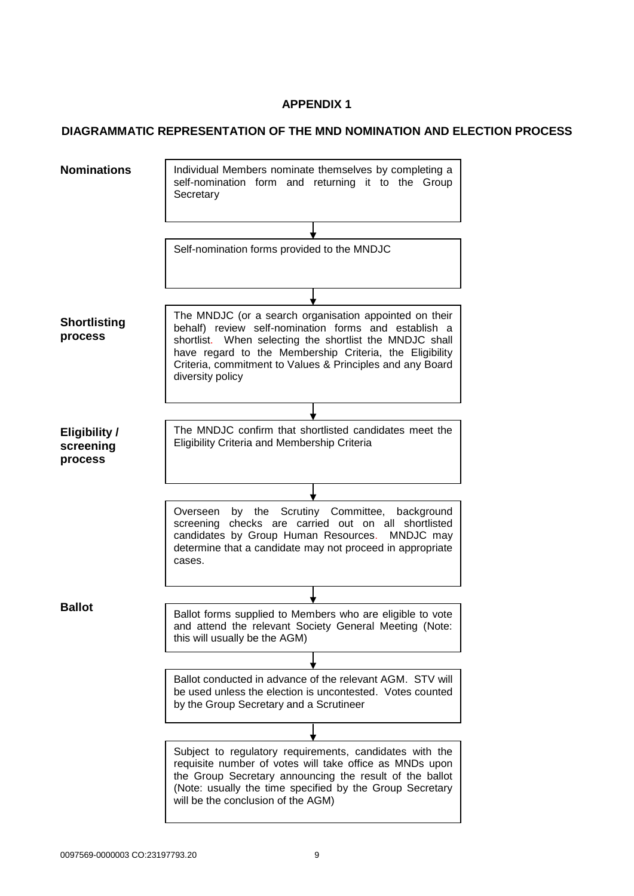# **APPENDIX 1**

# **DIAGRAMMATIC REPRESENTATION OF THE MND NOMINATION AND ELECTION PROCESS**

| <b>Nominations</b>                           | Individual Members nominate themselves by completing a<br>self-nomination form and returning it to the Group<br>Secretary                                                                                                                                                                                             |
|----------------------------------------------|-----------------------------------------------------------------------------------------------------------------------------------------------------------------------------------------------------------------------------------------------------------------------------------------------------------------------|
|                                              |                                                                                                                                                                                                                                                                                                                       |
|                                              | Self-nomination forms provided to the MNDJC                                                                                                                                                                                                                                                                           |
|                                              |                                                                                                                                                                                                                                                                                                                       |
| <b>Shortlisting</b><br>process               | The MNDJC (or a search organisation appointed on their<br>behalf) review self-nomination forms and establish a<br>shortlist. When selecting the shortlist the MNDJC shall<br>have regard to the Membership Criteria, the Eligibility<br>Criteria, commitment to Values & Principles and any Board<br>diversity policy |
|                                              |                                                                                                                                                                                                                                                                                                                       |
| <b>Eligibility /</b><br>screening<br>process | The MNDJC confirm that shortlisted candidates meet the<br>Eligibility Criteria and Membership Criteria                                                                                                                                                                                                                |
|                                              |                                                                                                                                                                                                                                                                                                                       |
|                                              | by the Scrutiny Committee, background<br>Overseen<br>screening checks are carried out on all shortlisted<br>candidates by Group Human Resources.<br>MNDJC may<br>determine that a candidate may not proceed in appropriate<br>cases.                                                                                  |
|                                              |                                                                                                                                                                                                                                                                                                                       |
| <b>Ballot</b>                                | Ballot forms supplied to Members who are eligible to vote<br>and attend the relevant Society General Meeting (Note:<br>this will usually be the AGM)                                                                                                                                                                  |
|                                              |                                                                                                                                                                                                                                                                                                                       |
|                                              | Ballot conducted in advance of the relevant AGM. STV will<br>be used unless the election is uncontested. Votes counted<br>by the Group Secretary and a Scrutineer                                                                                                                                                     |
|                                              |                                                                                                                                                                                                                                                                                                                       |
|                                              | Subject to regulatory requirements, candidates with the<br>requisite number of votes will take office as MNDs upon<br>the Group Secretary announcing the result of the ballot<br>(Note: usually the time specified by the Group Secretary<br>will be the conclusion of the AGM)                                       |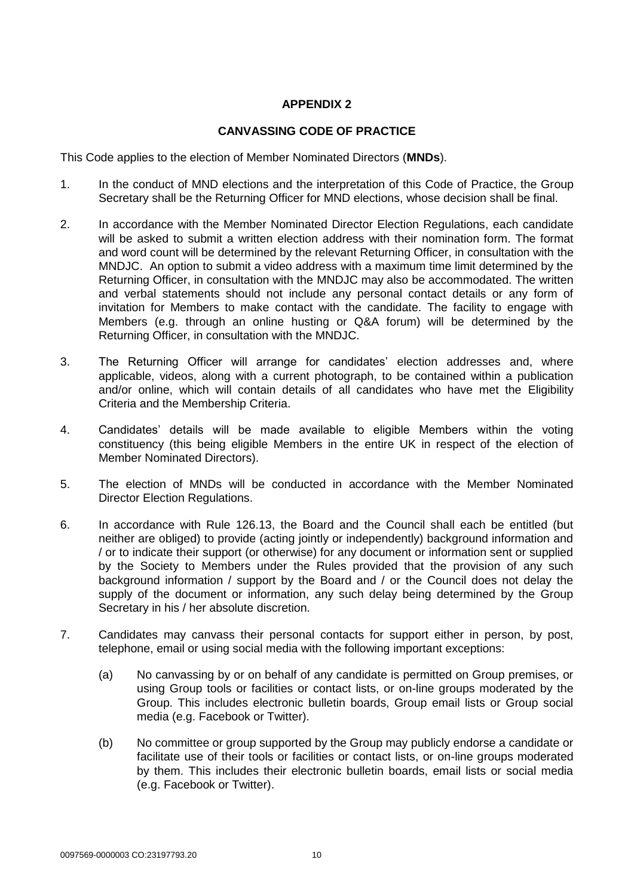# **APPENDIX 2**

## **CANVASSING CODE OF PRACTICE**

This Code applies to the election of Member Nominated Directors (**MNDs**).

- 1. In the conduct of MND elections and the interpretation of this Code of Practice, the Group Secretary shall be the Returning Officer for MND elections, whose decision shall be final.
- 2. In accordance with the Member Nominated Director Election Regulations, each candidate will be asked to submit a written election address with their nomination form. The format and word count will be determined by the relevant Returning Officer, in consultation with the MNDJC. An option to submit a video address with a maximum time limit determined by the Returning Officer, in consultation with the MNDJC may also be accommodated. The written and verbal statements should not include any personal contact details or any form of invitation for Members to make contact with the candidate. The facility to engage with Members (e.g. through an online husting or Q&A forum) will be determined by the Returning Officer, in consultation with the MNDJC.
- 3. The Returning Officer will arrange for candidates' election addresses and, where applicable, videos, along with a current photograph, to be contained within a publication and/or online, which will contain details of all candidates who have met the Eligibility Criteria and the Membership Criteria.
- 4. Candidates' details will be made available to eligible Members within the voting constituency (this being eligible Members in the entire UK in respect of the election of Member Nominated Directors).
- 5. The election of MNDs will be conducted in accordance with the Member Nominated Director Election Regulations.
- 6. In accordance with Rule 126.13, the Board and the Council shall each be entitled (but neither are obliged) to provide (acting jointly or independently) background information and / or to indicate their support (or otherwise) for any document or information sent or supplied by the Society to Members under the Rules provided that the provision of any such background information / support by the Board and / or the Council does not delay the supply of the document or information, any such delay being determined by the Group Secretary in his / her absolute discretion.
- 7. Candidates may canvass their personal contacts for support either in person, by post, telephone, email or using social media with the following important exceptions:
	- (a) No canvassing by or on behalf of any candidate is permitted on Group premises, or using Group tools or facilities or contact lists, or on-line groups moderated by the Group. This includes electronic bulletin boards, Group email lists or Group social media (e.g. Facebook or Twitter).
	- (b) No committee or group supported by the Group may publicly endorse a candidate or facilitate use of their tools or facilities or contact lists, or on-line groups moderated by them. This includes their electronic bulletin boards, email lists or social media (e.g. Facebook or Twitter).